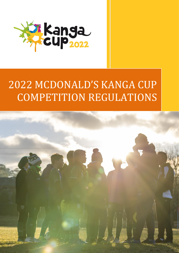

# MCDONALD'S KANGA CUP COMPETITION REGULATIONS

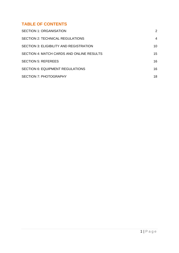# **TABLE OF CONTENTS**

| <b>SECTION 1: ORGANISATION</b>                 | 2  |
|------------------------------------------------|----|
| <b>SECTION 2: TECHNICAL REGULATIONS</b>        | 4  |
| <b>SECTION 3: ELIGIBILITY AND REGISTRATION</b> | 10 |
| SECTION 4: MATCH CARDS AND ONLINE RESULTS      | 15 |
| <b>SECTION 5: REFEREES</b>                     | 16 |
| <b>SECTION 6: EQUIPMENT REGULATIONS</b>        | 16 |
| <b>SECTION 7: PHOTOGRAPHY</b>                  | 18 |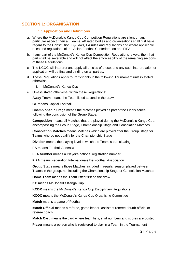# <span id="page-2-0"></span>**SECTION 1: ORGANISATION**

#### **1.1Application and Definitions**

- a. Where the McDonald's Kanga Cup Competition Regulations are silent on any particular aspect, then all Teams, affiliated bodies and organisations shall first have regard to the Constitution, By-Laws, FA rules and regulations and where applicable rules and regulations of the Asian Football Confederation and FIFA.
- b. If any part of the McDonald's Kanga Cup Competition Regulations is void, then that part shall be severable and will not affect the enforceability of the remaining sections of these Regulations.
- c. The KCOC will interpret and apply all articles of these, and any such interpretation or application will be final and binding on all parties.
- d. These Regulations apply to Participants in the following Tournament unless stated otherwise:
	- i. McDonald's Kanga Cup
- e. Unless stated otherwise, within these Regulations:

**Away Team** means the Team listed second in the draw

**CF** means Capital Football.

**Championship Stage** means the Matches played as part of the Finals series following the conclusion of the Group Stage.

**Competition** means all Matches that are played during the McDonald's Kanga Cup, encompassing the Group Stage, Championship Stage and Consolation Matches

**Consolation Matches** means Matches which are played after the Group Stage for Teams who do not qualify for the Championship Stage

**Division** means the playing level in which the Team is participating

**FA** means Football Australia

**FFA Number** means a Player's national registration number

**FIFA** means Federation Internationale De Football Association

**Group Stage** means those Matches included in regular season played between Teams in the group, not including the Championship Stage or Consolation Matches

**Home Team** means the Team listed first on the draw

**KC** means McDonald's Kanga Cup

**KCDR** means the McDonald's Kanga Cup Disciplinary Regulations

**KCOC** means the McDonald's Kanga Cup Organising Committee

**Match** means a game of Football

**Match Official** means a referee, game leader, assistant referee, fourth official or referee coach

**Match Card** means the card where team lists, shirt numbers and scores are posted

**Player** means a person who is registered to play in a Team in the Tournament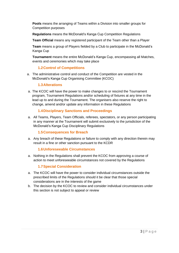**Pools** means the arranging of Teams within a Division into smaller groups for Competition purposes

**Regulations** means the McDonald's Kanga Cup Competition Regulations

**Team Official** means any registered participant of the Team other than a Player

**Team** means a group of Players fielded by a Club to participate in the McDonald's Kanga Cup

**Tournament** means the entire McDonald's Kanga Cup, encompassing all Matches, events and ceremonies which may take place

## **1.2Control of Competitions**

a. The administrative control and conduct of the Competition are vested in the McDonald's Kanga Cup Organising Committee (KCOC)

#### **1.3Alterations**

a. The KCOC will have the power to make changes to or rescind the Tournament program, Tournament Regulations and/or scheduling of fixtures at any time in the lead up to and during the Tournament. The organisers also reserve the right to change, amend and/or update any information in these Regulations

#### **1.4Disciplinary Sanctions and Proceedings**

a. All Teams, Players, Team Officials, referees, spectators, or any person participating in any manner at the Tournament will submit exclusively to the jurisdiction of the McDonald's Kanga Cup Disciplinary Regulations

#### **1.5Consequences for Breach**

a. Any breach of these Regulations or failure to comply with any direction therein may result in a fine or other sanction pursuant to the KCDR

#### **1.6Unforeseeable Circumstances**

a. Nothing in the Regulations shall prevent the KCOC from approving a course of action to meet unforeseeable circumstances not covered by the Regulations

#### **1.7Special Consideration**

- a. The KCOC will have the power to consider individual circumstances outside the prescribed limits of the Regulations should it be clear that those special considerations are in the interests of the game
- b. The decision by the KCOC to review and consider individual circumstances under this section is not subject to appeal or review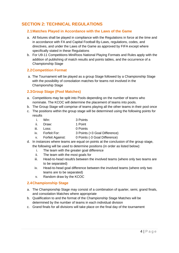# <span id="page-4-0"></span>**SECTION 2: TECHNICAL REGULATIONS**

#### **2.1Matches Played in Accordance with the Laws of the Game**

- a. All fixtures shall be played in compliance with the Regulations in force at the time and in accordance with FA and Capital Football By-Laws, regulations, codes, and directives, and under the Laws of the Game as approved by FIFA except where specifically stated in these Regulations
- b. For U9-11 Competitions MiniRoos National Playing Formats and Rules apply with the addition of publishing of match results and points tables, and the occurrence of a Championship Stage

#### **2.2Competition Format**

a. The Tournament will be played as a group Stage followed by a Championship Stage with the possibility of consolation matches for teams not involved in the Championship Stage

#### **2.3Group Stage (Pool Matches)**

- a. Competitions may be split into Pools depending on the number of teams who nominate. The KCOC will determine the placement of teams into pools.
- b. The Group Stage will comprise of teams playing all the other teams in their pool once
- c. The positions within the group stage will be determined using the following points for results
	- i. Win: 3 Points
	- ii. Draw: 1 Point
	- iii. Loss: 0 Points
	-
	- iv. Forfeit For: 3 Points (+3 Goal Difference)<br>v. Forfeit Against: 0 Points (-3 Goal Difference) v. Forfeit Against: 0 Points (-3 Goal Difference)
- d. In instances where teams are equal on points at the conclusion of the group stage, the following will be used to determine positions (in order as listed below):
	- i. The team with the greater goal difference
	- ii. The team with the most goals for
	- iii. Head-to-head result/s between the involved teams (where only two teams are to be separated)
	- iv. Head-to-head goal difference between the involved teams (where only two teams are to be separated)
	- v. Random draw by the KCOC

#### **2.4Championship Stage**

- a. The Championship Stage may consist of a combination of quarter, semi, grand finals, and consolation Matches where appropriate
- b. Qualification to and the format of the Championship Stage Matches will be determined by the number of teams in each individual division
- c. Grand finals for all divisions will take place on the final day of the tournament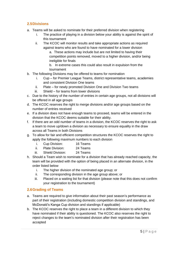## **2.5Divisions**

- a. Teams will be asked to nominate for their preferred division when registering
	- i. The practice of playing in a division below your ability is against the spirit of this tournament
	- ii. The KCOC will monitor results and take appropriate actions as required against teams who are found to have nominated for a lower division a. These actions may include but are not limited to having their competition points removed, moved to a higher division, and/or being ineligible for finals

b. In extreme cases this could also result in expulsion from the tournament

- b. The following Divisions may be offered to teams for nomination
	- i. Cup for Premier League Teams, district representative teams, academies and consistent Division One teams
	- ii. Plate for newly promoted Division One and Division Two teams
	- iii. Shield for teams from lower divisions
- c. Due to the history of the number of entries in certain age groups, not all divisions will be offered in all age groups
- d. The KCOC reserves the right to merge divisions and/or age groups based on the number of entries received
- e. If a division does not have enough teams to proceed, teams will be entered in the division that the KCOC deems suitable for their ability.
- f. If there are an odd number of teams in a division, the KCOC reserves the right to ask a team to move up/down a division as necessary to ensure equality in the draw across all Teams in both Divisions
- g. To allow for fair and efficient competition structures the KCOC reserves the right to apply the following maximum numbers to each division
	- i. Cup Division: 16 Teams
	- ii. Plate Division: 24 Teams
	- iii. Shield Division: 24 Teams
- h. Should a Team wish to nominate for a division that has already reached capacity, the team will be provided with the option of being placed in an alternate division, in the order listed below
	- i. The higher division of the nominated age group; or
	- ii. The corresponding division in the age group above; or
	- iii. Placed on a waiting list for that division (please note that this does not confirm your registration to the tournament)

# **2.6Grading of Teams**

- a. Teams are required to give information about their past season's performance as part of their registration (including domestic competition division and standings, and McDonald's Kanga Cup division and standings if applicable)
- b. The KCOC reserves the right to place a team in a different division to which they have nominated if their ability is questioned. The KCOC also reserves the right to reject changes to the team's nominated division after their registration has been accepted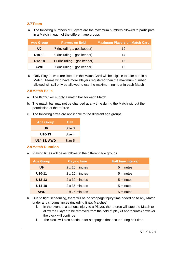## **2.7Team**

a. The following numbers of Players are the maximum numbers allowed to participate in a Match in each of the different age groups

| <b>Age Group</b> | <b>Players on field</b>     | <b>Maximum Players on Match Card</b> |
|------------------|-----------------------------|--------------------------------------|
| U <sub>9</sub>   | 7 (including 1 goalkeeper)  | 12                                   |
| U10-11           | 9 (including 1 goalkeeper)  | 14                                   |
| $U12-18$         | 11 (including 1 goalkeeper) | 16                                   |
| <b>AWD</b>       | 7 (including 1 goalkeeper)  | 16                                   |

b. Only Players who are listed on the Match Card will be eligible to take part in a Match. Teams who have more Players registered than the maximum number allowed will still only be allowed to use the maximum number in each Match

#### **2.8Match Balls**

- a. The KCOC will supply a match ball for each Match
- b. The match ball may not be changed at any time during the Match without the permission of the referee
- c. The following sizes are applicable to the different age groups:

| <b>Age Group</b>    | Ball   |
|---------------------|--------|
| U9                  | Size 3 |
| U <sub>10</sub> -13 | Size 4 |
| <b>U14-18, AWD</b>  | Size 5 |

#### **2.9Match Duration**

a. Playing times will be as follows in the different age groups

| <b>Age Group</b> | <b>Playing time</b> | <b>Half time interval</b> |
|------------------|---------------------|---------------------------|
| U <sub>9</sub>   | 2 x 20 minutes      | 5 minutes                 |
| $U10-11$         | 2 x 25 minutes      | 5 minutes                 |
| $U12-13$         | 2 x 30 minutes      | 5 minutes                 |
| $U14-18$         | 2 x 35 minutes      | 5 minutes                 |
| <b>AWD</b>       | 2 x 25 minutes      | 5 minutes                 |

- b. Due to tight scheduling, there will be no stoppage/injury time added on to any Match under any circumstances (including finals Matches)
	- i. In the event of a serious injury to a Player, the referee will stop the Match to allow the Player to be removed from the field of play (if appropriate) however the clock will continue
	- ii. The clock will also continue for stoppages that occur during half time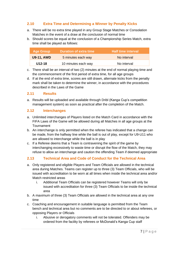# **2.10 Extra Time and Determining a Winner by Penalty Kicks**

- a. There will be no extra time played in any Group Stage Matches or Consolation Matches in the event of a draw at the conclusion of normal time
- b. Should scores be equal at the conclusion of a Championship Series Match, extra time shall be played as follows:

| <b>Age Group</b>  | <b>Duration of extra time</b> | <b>Half time interval</b> |
|-------------------|-------------------------------|---------------------------|
| <b>U9-11, AWD</b> | 5 minutes each way            | No interval               |
| U12-18            | 10 minutes each way           | No interval               |

- c. There shall be an interval of two (2) minutes at the end of normal playing time and the commencement of the first period of extra time, for all age groups
- d. If at the end of extra time, scores are still drawn, alternate kicks from the penalty mark shall be taken to determine the winner, in accordance with the procedures described in the Laws of the Game

#### **2.11 Results**

a. Results will be uploaded and available through Dribl (Kanga Cup's competition management system) as soon as practical after the completion of the Match.

#### **2.12 Interchanges**

- a. Unlimited interchanges of Players listed on the Match Card in accordance with the FIFA Laws of the Game will be allowed during all Matches in all age groups at the **Tournament**
- b. An interchange is only permitted when the referee has indicated that a change can be made, from the halfway line while the ball is out of play, except for U9-U11 who are allowed to interchange while the ball is in play
- c. If a Referee deems that a Team is contravening the spirit of the game by interchanging excessively to waste time or disrupt the flow of the Match, they may refuse to allow an interchange and caution the offending Team if deemed appropriate

## **2.13 Technical Area and Code of Conduct for the Technical Area**

- a. Only registered and eligible Players and Team Officials are allowed in the technical area during Matches. Teams can register up to three (3) Team Officials, who will be issued with accreditation to be worn at all times when inside the technical area and/or Match restricted areas
	- i. Additional Team Officials can be registered however Teams will only be issued with accreditation for three (3) Team Officials to be inside the technical area
- b. A maximum of three (3) Team Officials are allowed in the technical area at any one time
- c. Coaching and encouragement in suitable language is permitted from the Team bench and technical area but no comments are to be directed to or about referees, or opposing Players or Officials
	- i. Abusive or derogatory comments will not be tolerated. Offenders may be ordered from the facility by referees or McDonald's Kanga Cup staff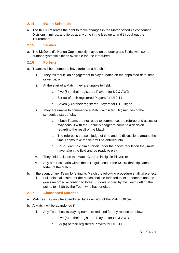## **2.14 Match Schedule**

a. The KCOC reserves the right to make changes in the Match schedule concerning Divisions, timings, and fields at any time in the lead up to and throughout the Tournament

#### **2.15 Venues**

a. The McDonald's Kanga Cup is mostly played on outdoor grass fields, with some outdoor synthetic pitches available for use if required

#### **2.16 Forfeits**

- a. Teams will be deemed to have forfeited a Match if:
	- i. They fail to fulfil an engagement to play a Match on the appointed date, time, or venue; or
	- ii. At the start of a Match they are unable to field:
		- a. Five (5) of their registered Players for U9 & AWD
		- b. Six (6) of their registered Players for U10-11
		- c. Seven (7) of their registered Players for U12-18; or
	- iii. They are unable to commence a Match within ten (10) minutes of the scheduled start of play
		- a. If both Teams are not ready to commence, the referee and assessor may consult with the Venue Manager to come to a decision regarding the result of the Match
		- b. The referee is the sole judge of time and no discussions around the time Teams take the field will be entered into
		- c. For a Team to claim a forfeit under the above regulation they must have taken the field and be ready to play
	- iv. They field or list on the Match Card an ineligible Player; or
	- v. Any other scenario within these Regulations or the KCDR that stipulates a forfeit of the Match
- b. In the event of any Team forfeiting its Match the following procedure shall take effect:
	- i. Full points allocated for the Match shall be forfeited to its opponents and the goals recorded according to three (3) goals scored by the Team getting the points to nil (0) by the Team who has forfeited.

#### **2.17 Abandoned Matches**

- a. Matches may only be abandoned by a decision of the Match Official
- b. A Match will be abandoned if:
	- i. Any Team has its playing numbers reduced for any reason to below:
		- a. Five (5) of their registered Players for U9 & AWD
		- b. Six (6) of their registered Players for U10-11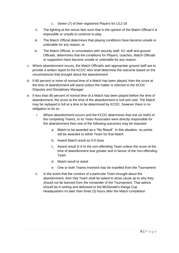- c. Seven (7) of their registered Players for U12-18
- ii. The lighting at the venue fails such that in the opinion of the Match Official it is impossible or unsafe to continue to play.
- iii. The Match Official determines that playing conditions have become unsafe or untenable for any reason, or
- iv. The Match Official, in consultation with security staff, KC staff and ground Officials, determines that the conditions for Players, coaches, Match Officials or supporters have become unsafe or untenable for any reason.
- c. Where abandonment occurs, the Match Official/s and appropriate ground staff are to provide a written report to the KCOC who shall determine the outcome based on the circumstances that brought about the abandonment
- d. If 80 percent or more of normal time of a Match has been played, then the score at the time of abandonment will stand unless the matter is referred to the KCOC Disputes and Disciplinary Manager
- e. If less than 80 percent of normal time of a Match has been played before the time of abandonment, the score at the time of the abandonment is null and void. The Match may be replayed in full at a time to be determined by KCOC, however there is no obligation to do so.
	- i. Where abandonment occurs and the KCOC determines that one (or both) of the competing Teams, or its Team Associates were directly responsible for the abandonment then one of the following outcomes may be imposed:
		- a. Match to be awarded as a "No Result". In this situation, no points will be awarded to either Team for that Match
		- b. Award Match result as 0-0 draw
		- c. Award result 3–0 to the non-offending Team unless the score at the time of abandonment was greater and in favour of the non-offending Team
		- d. Match result to stand
		- e. One or both Teams involved may be expelled from the Tournament
	- ii. In the event that the conduct of a particular Team brought about the abandonment, then that Team shall be asked to show cause as to why they should not be banned from the remainder of the Tournament. That advice should be in writing and delivered to the McDonald's Kanga Cup Headquarters no later than three (3) hours after the Match completion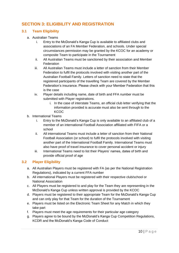# <span id="page-10-0"></span>**SECTION 3: ELIGIBILITY AND REGISTRATION**

## **3.1 Team Eligibility**

- a. Australian Teams
	- i. Entry to the McDonald's Kanga Cup is available to affiliated clubs and associations of an FA Member Federation, and schools. Under special circumstances permission may be granted by the KCOC for an academy or composite Team to participate in the Tournament
	- ii. All Australian Teams must be sanctioned by their association and Member **Federation**
	- iii. All Australian Teams must include a letter of sanction from their Member Federation to fulfil the protocols involved with visiting another part of the Australian Football Family. Letters of sanction need to state that the registered participants of the travelling Team are covered by the Member Federation's insurance. Please check with your Member Federation that this is the case
	- iv. Player details including name, date of birth and FFA number must be submitted with Player registrations.
		- i. In the case of interstate Teams, an official club letter verifying that the information provided is accurate must also be sent through to the KCOC
- b. International Teams
	- i. Entry to the McDonald's Kanga Cup is only available to an affiliated club of a member of an international Football Association affiliated with FIFA or a school
	- ii. All international Teams must include a letter of sanction from their National Football Association (or school) to fulfil the protocols involved with visiting another part of the International Football Family. International Teams must also have proof of travel insurance to cover personal accident or injury
	- iii. International Teams need to list their Players' names, dates of birth and provide official proof of age

## **3.2 Player Eligibility**

- a. All Australian Players must be registered with FA (as per the National Registration Regulations), indicated by a current FFA number
- b. All international Players must be registered with their respective club/school or National Association
- c. All Players must be registered to and play for the Team they are representing in the McDonald's Kanga Cup unless written approval is provided by the KCOC
- d. Players must be registered to their appropriate Team for the McDonald's Kanga Cup and can only play for that Team for the duration of the Tournament
- e. Players must be listed on the Electronic Team Sheet for any Match in which they take part
- f. Players must meet the age requirements for their particular age category
- g. Players agree to be bound by the McDonald's Kanga Cup Competition Regulations, KCDR and the McDonald's Kanga Code of Conduct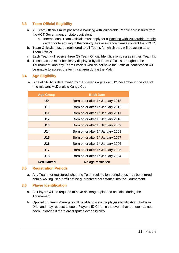## **3.3 Team Official Eligibility**

- a. All Team Officials must possess a Working with Vulnerable People card issued from the ACT Government or state equivalent
	- a. International Team Officials must apply for a [Working with Vulnerable People](https://form.act.gov.au/smartforms/servlet/SmartForm.html?formCode=1318) card prior to arriving in the country. For assistance please contact the KCOC.
- b. Team Officials must be registered to all Teams for which they will be acting as a Team Official
- c. Each Team will receive three (3) Team Official Identification passes in their Team kit
- d. These passes must be clearly displayed by all Team Officials throughout the Tournament, and any Team Officials who do not have their official identification will be unable to access the technical area during the Match

#### **3.4 Age Eligibility**

a. Age eligibility is determined by the Player's age as at 31<sup>st</sup> December in the year of the relevant McDonald's Kanga Cup

| <b>Age Group</b> | <b>Birth Date</b>                             |  |  |
|------------------|-----------------------------------------------|--|--|
| U <sub>9</sub>   | Born on or after 1 <sup>st</sup> January 2013 |  |  |
| U10              | Born on or after 1 <sup>st</sup> January 2012 |  |  |
| U11              | Born on or after 1 <sup>st</sup> January 2011 |  |  |
| U12              | Born on or after 1 <sup>st</sup> January 2010 |  |  |
| <b>U13</b>       | Born on or after 1 <sup>st</sup> January 2009 |  |  |
| U14              | Born on or after 1 <sup>st</sup> January 2008 |  |  |
| <b>U15</b>       | Born on or after 1 <sup>st</sup> January 2007 |  |  |
| U16              | Born on or after 1 <sup>st</sup> January 2006 |  |  |
| <b>U17</b>       | Born on or after 1 <sup>st</sup> January 2005 |  |  |
| U18              | Born on or after 1 <sup>st</sup> January 2004 |  |  |
| <b>AWD Mixed</b> | No age restriction                            |  |  |

#### **3.5 Registration Periods**

a. Any Team not registered when the Team registration period ends may be entered onto a waiting list but will not be guaranteed acceptance into the Tournament

#### **3.6 Player Identification**

- a. All Players will be required to have an image uploaded on Dribl during the Tournament.
- b. Opposition Team Managers will be able to view the player identification photos in Dribl and may request to see a Player's ID Card, in the event that a photo has not been uploaded if there are disputes over eligibility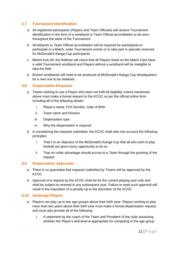#### **3.7 Tournament Identification**

- a. All registered participants (Players and Team Officials) will receive Tournament identification in the form of a wristband or Team Official accreditation to be worn throughout the week of the Tournament
- b. Wristbands or Team Official accreditation will be required for participants to participate in a Match, enter Tournament events or to take part in specials reserved for McDonald's Kanga Cup participants
- c. Before kick-off, the Referee will check that all Players listed on the Match Card have a valid Tournament wristband and Players without a wristband will be ineligible to take the field
- d. Broken wristbands will need to be produced at McDonald's Kanga Cup Headquarters for a new one to be obtained

#### **3.8 Dispensation Requests**

- a. Teams wishing to use a Player who does not fulfil all eligibility criteria mentioned above must make a formal request to the KCOC as per the official online form including all of the following details:
	- i. Player's name, FFA Number, Date of Birth
	- ii. Team name and Division
	- iii. Dispensation type
	- iv. Why the dispensation is required
- b. In considering the requests submitted, the KCOC shall take into account the following principles:
	- i. That it is an objective of the McDonald's Kanga Cup that all who wish to play football are given every opportunity to do so
	- ii. That no unfair advantage should accrue to a Team through the granting of the request

#### **3.9 Dispensation Approvals**

- a. There is no guarantee that requests submitted by Teams will be approved by the **KCOC**
- b. Approval of a request by the KCOC shall be for the current playing year only and shall be subject to renewal in any subsequent year. Failure to seek such approval will result in the imposition of a penalty up to the discretion of the KCOC

#### **3.10 Underage Players**

- a. Players can play up to two age groups above their birth year. Players wishing to play more than two years above their birth year must make a formal dispensation request, and must also provide all of the following:
	- i. A statement by the coach of the Team and President of the clubr assessing whether the Player's skill level is appropriate for competing in the age group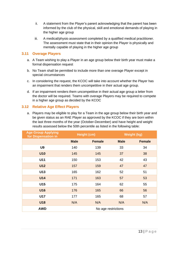- ii. A statement from the Player's parent acknowledging that the parent has been informed by the club of the physical, skill and emotional demands of playing in the higher age group
- iii. A medical/physio assessment completed by a qualified medical practitioner. The assessment must state that in their opinion the Player is physically and mentally capable of playing in the higher age group

#### **3.11 Overage Players**

- a. A Team wishing to play a Player in an age group below their birth year must make a formal dispensation request
- b. No Team shall be permitted to include more than one overage Player except in special circumstances
- c. In considering the request, the KCOC will take into account whether the Player has an impairment that renders them uncompetitive in their actual age group.
- d. If an impairment renders them uncompetitive in their actual age group a letter from the doctor will be required. Teams with overage Players may be required to compete in a higher age group as decided by the KCOC

#### **3.12 Relative Age Effect Players**

a. Players may be eligible to play for a Team in the age group below their birth year and be given status as an RAE Player as approved by the KCOC if they are born within the last three months of the year (October-December) and have height and weight results assessed below the 50th percentile as listed in the following table:

| <b>Age Group Applying</b><br>for Dispensation in | <b>Height (cm)</b>  |               | <b>Weight (kg)</b> |               |
|--------------------------------------------------|---------------------|---------------|--------------------|---------------|
|                                                  | <b>Male</b>         | <b>Female</b> | <b>Male</b>        | <b>Female</b> |
| U9                                               | 140                 | 139           | 33                 | 34            |
| <b>U10</b>                                       | 145                 | 145           | 37                 | 38            |
| U11                                              | 150                 | 153           | 42                 | 43            |
| <b>U12</b>                                       | 157                 | 159           | 47                 | 47            |
| U13                                              | 165                 | 162           | 52                 | 51            |
| <b>U14</b>                                       | 171                 | 163           | 57                 | 53            |
| U15                                              | 175                 | 164           | 62                 | 55            |
| U16                                              | 176                 | 165           | 66                 | 56            |
| U17                                              | 177                 | 165           | 68                 | 57            |
| <b>U18</b>                                       | N/A                 | N/A           | N/A                | N/A           |
| <b>AWD</b>                                       | No age restrictions |               |                    |               |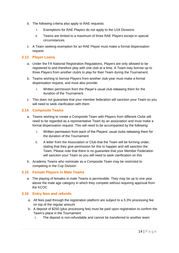- b. The following criteria also apply to RAE requests:
	- i. Exemptions for RAE Players do not apply to the U18 Divisions
	- ii. Teams are limited to a maximum of three RAE Players except in special circumstances
- c. A Team seeking exemption for an RAE Player must make a formal dispensation request

#### **3.13 Player Loans**

- a. Under the FA National Registration Regulations, Players are only allowed to be registered to and therefore play with one club at a time. A Team may borrow up to three Players from another club/s to play for their Team during the Tournament.
- b. Teams wishing to borrow Players from another club year must make a formal dispensation request, and must also provide:
	- i. Written permission from the Player's usual club releasing them for the duration of the Tournament
- c. This does not guarantee that your member federation will sanction your Team so you will need to seek clarification with them

#### **3.14 Composite Teams**

- a. Teams wishing to create a Composite Team with Players from different Clubs will need to be regarded as a representative Team by an association and must make a formal dispensation request. This will need to be accompanied by the following:
	- i. Written permission from each of the Players' usual clubs releasing them for the duration of the Tournament
	- ii. A letter from the Association or Club that the Team will be forming under, stating that they give permission for this to happen and will sanction the Team. Please note that there is no guarantee that your Member Federation will sanction your Team so you will need to seek clarification on this
- b. Academy Teams who nominate as a Composite Team may be restricted to competing in the Cup Division

#### **3.15 Female Players in Male Teams**

a. The playing of females in male Teams is permissible. They may be up to one year above the male age category in which they compete without requiring approval from the KCOC

#### **3.16 Entry fees and refunds**

- a. All fees paid through the registration platform are subject to a 5.3% processing fee on top of the regular amount
- b. A deposit of \$250 (plus processing fee) must be paid upon registration to confirm the Team's place in the Tournament
	- i. The deposit is non-refundable and cannot be transferred to another team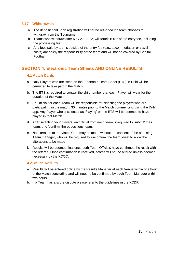#### **3.17 Withdrawals**

- a. The deposit paid upon registration will not be refunded if a team chooses to withdraw from the Tournament
- b. Teams who withdraw after May 27, 2022, will forfeit 100% of the entry fee, including the processing fee
- c. Any fees paid by teams outside of the entry fee (e.g., accommodation or travel costs) are solely the responsibility of the team and will not be covered by Capital Football

# <span id="page-15-0"></span>**SECTION 4: Electronic Team Sheets AND ONLINE RESULTS**

#### **4.1Match Cards**

- a. Only Players who are listed on the Electronic Team Sheet (ETS) in Dribl will be permitted to take part in the Match
- b. The ETS is required to contain the shirt number that each Player will wear for the duration of the Match
- c. An Official for each Team will be responsible for selecting the players who are participating in the match, 30 minutes prior to the Match commencing using the Dribl app. Any Player who is selected as 'Playing' on the ETS will be deemed to have played in that Match
- d. After selecting your players, an Official from each team is required to 'submit' their team, and 'confirm' the oppositions team.
- e. No alteration to the Match Card may be made without the consent of the opposing Team manager, who will be required to 'unconfirm' the team sheet to allow the alterations to be made
- f. Results will be deemed final once both Team Officials have confirmed the result with the referee. Once confirmation is received, scores will not be altered unless deemed necessary by the KCOC.

#### **4.2Online Results**

- a. Results will be entered online by the Results Manager at each Venue within one hour of the Match concluding and will need to be confirmed by each Team Manager within two hours
- b. If a Team has a score dispute please refer to the guidelines in the KCDR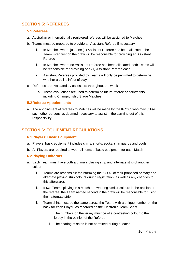# <span id="page-16-0"></span>**SECTION 5: REFEREES**

#### **5.1Referees**

- a. Australian or internationally registered referees will be assigned to Matches
- b. Teams must be prepared to provide an Assistant Referee if necessary
	- i. In Matches where just one (1) Assistant Referee has been allocated, the Team listed first on the draw will be responsible for providing an Assistant Referee
	- ii. In Matches where no Assistant Referee has been allocated, both Teams will be responsible for providing one (1) Assistant Referee each
	- iii. Assistant Referees provided by Teams will only be permitted to determine whether a ball is in/out of play
- c. Referees are evaluated by assessors throughout the week
	- a. These evaluations are used to determine future referee appointments including Championship Stage Matches

#### **5.2Referee Appointments**

a. The appointment of referees to Matches will be made by the KCOC, who may utilise such other persons as deemed necessary to assist in the carrying out of this responsibility

# <span id="page-16-1"></span>**SECTION 6: EQUIPMENT REGULATIONS**

#### **6.1Players' Basic Equipment**

- a. Players' basic equipment includes shirts, shorts, socks, shin guards and boots
- b. All Players are required to wear all items of basic equipment for each Match

#### **6.2Playing Uniforms**

- a. Each Team must have both a primary playing strip and alternate strip of another colour
	- i. Teams are responsible for informing the KCOC of their proposed primary and alternate playing strip colours during registration, as well as any changes to this afterwards
	- ii. If two Teams playing in a Match are wearing similar colours in the opinion of the referee, the Team named second in the draw will be responsible for using their alternate strip
	- iii. Team shirts must be the same across the Team, with a unique number on the back for each Player, as recorded on the Electronic Team Sheet
		- i. The numbers on the jersey must be of a contrasting colour to the jersey in the opinion of the Referee
		- ii. The sharing of shirts is not permitted during a Match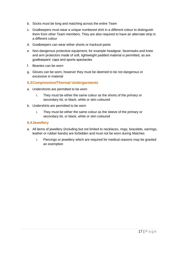- b. Socks must be long and matching across the entire Team
- c. Goalkeepers must wear a unique numbered shirt in a different colour to distinguish them from other Team members. They are also required to have an alternate strip in a different colour
- d. Goalkeepers can wear either shorts or tracksuit pants
- e. Non-dangerous protective equipment, for example headgear, facemasks and knee and arm protectors made of soft, lightweight padded material is permitted, as are goalkeepers' caps and sports spectacles
- f. Beanies can be worn
- g. Gloves can be worn; however they must be deemed to be not dangerous or excessive in material

#### **6.3Compression/Thermal Undergarments**

- a. Undershorts are permitted to be worn
	- i. They must be either the same colour as the shorts of the primary or secondary kit, or black, white or skin coloured
- b. Undershirts are permitted to be worn
	- i. They must be either the same colour as the sleeve of the primary or secondary kit, or black, white or skin coloured

#### **6.4Jewellery**

- a. All items of jewellery (including but not limited to necklaces, rings, bracelets, earrings, leather or rubber bands) are forbidden and must not be worn during Matches
	- i. Piercings or jewellery which are required for medical reasons may be granted an exemption